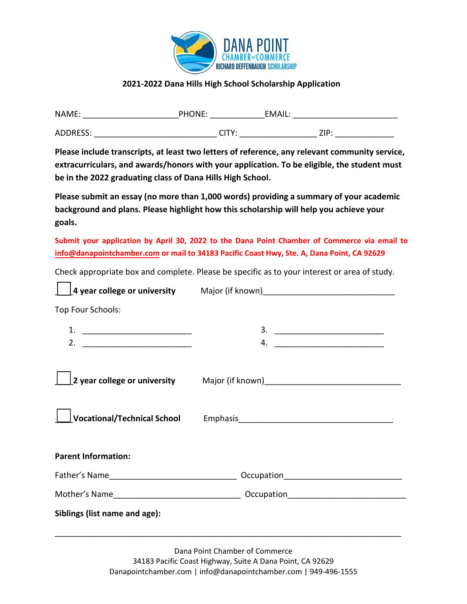

## **2021-2022 Dana Hills High School Scholarship Application**

| NAME:           | PHONE:         | EMAIL:     |
|-----------------|----------------|------------|
| <b>ADDRESS:</b> | ∿⊤ור<br>UI I . | 71D.<br>பா |

**Please include transcripts, at least two letters of reference, any relevant community service, extracurriculars, and awards/honors with your application. To be eligible, the student must be in the 2022 graduating class of Dana Hills High School.** 

**Please submit an essay (no more than 1,000 words) providing a summary of your academic background and plans. Please highlight how this scholarship will help you achieve your goals.** 

**Submit your application by April 30, 2022 to the Dana Point Chamber of Commerce via email to [info@danapointchamber.com](mailto:info@danapointchamber.com) or mail to 34183 Pacific Coast Hwy, Ste. A, Dana Point, CA 92629** 

Check appropriate box and complete. Please be specific as to your interest or area of study.

 $\Box$ 

|                               | 4 year college or university Major (if known) [19] Major (if and the summary college or university Major (if known) |  |
|-------------------------------|---------------------------------------------------------------------------------------------------------------------|--|
| Top Four Schools:             |                                                                                                                     |  |
|                               |                                                                                                                     |  |
|                               | 4.                                                                                                                  |  |
|                               | 2 year college or university Major (if known) [100] [2] year college or university                                  |  |
|                               |                                                                                                                     |  |
| <b>Parent Information:</b>    |                                                                                                                     |  |
|                               |                                                                                                                     |  |
|                               |                                                                                                                     |  |
| Siblings (list name and age): |                                                                                                                     |  |
|                               |                                                                                                                     |  |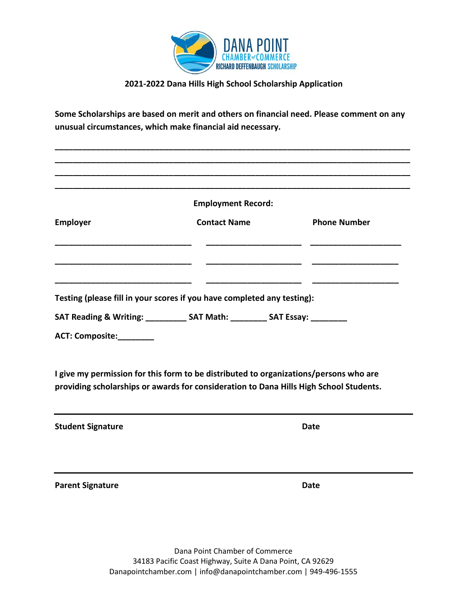

## **2021-2022 Dana Hills High School Scholarship Application**

**Some Scholarships are based on merit and others on financial need. Please comment on any unusual circumstances, which make financial aid necessary.**

**\_\_\_\_\_\_\_\_\_\_\_\_\_\_\_\_\_\_\_\_\_\_\_\_\_\_\_\_\_\_\_\_\_\_\_\_\_\_\_\_\_\_\_\_\_\_\_\_\_\_\_\_\_\_\_\_\_\_\_\_\_\_\_\_\_\_\_\_\_\_\_\_\_\_\_\_\_\_**

|                          | <b>Employment Record:</b>                                                                                                                                                       |                     |  |
|--------------------------|---------------------------------------------------------------------------------------------------------------------------------------------------------------------------------|---------------------|--|
| <b>Employer</b>          | <b>Contact Name</b>                                                                                                                                                             | <b>Phone Number</b> |  |
|                          | Testing (please fill in your scores if you have completed any testing):<br>SAT Reading & Writing: ___________ SAT Math: _________ SAT Essay: _________                          |                     |  |
| ACT: Composite:          | I give my permission for this form to be distributed to organizations/persons who are<br>providing scholarships or awards for consideration to Dana Hills High School Students. |                     |  |
|                          |                                                                                                                                                                                 |                     |  |
| <b>Student Signature</b> |                                                                                                                                                                                 | <b>Date</b>         |  |